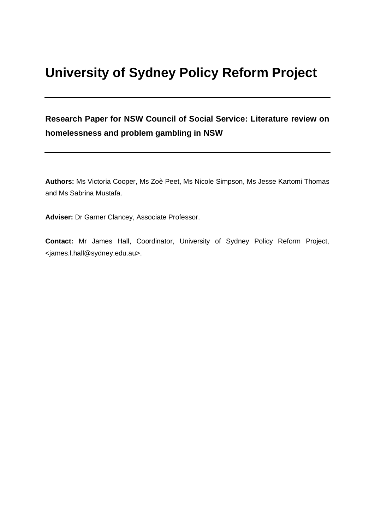# **University of Sydney Policy Reform Project**

**Research Paper for NSW Council of Social Service: Literature review on homelessness and problem gambling in NSW**

**Authors:** Ms Victoria Cooper, Ms Zoè Peet, Ms Nicole Simpson, Ms Jesse Kartomi Thomas and Ms Sabrina Mustafa.

**Adviser:** Dr Garner Clancey, Associate Professor.

**Contact:** Mr James Hall, Coordinator, University of Sydney Policy Reform Project, <james.l.hall@sydney.edu.au>.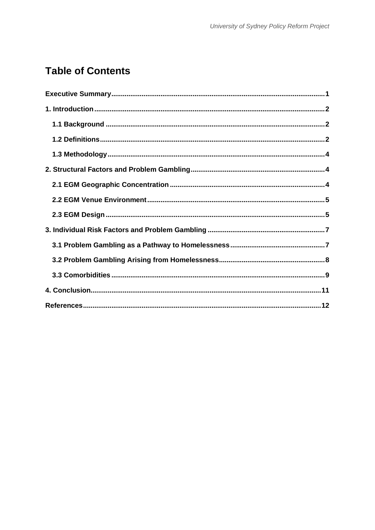# **Table of Contents**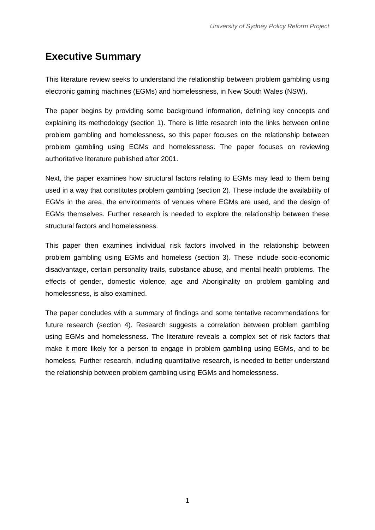# <span id="page-2-0"></span>**Executive Summary**

This literature review seeks to understand the relationship between problem gambling using electronic gaming machines (EGMs) and homelessness, in New South Wales (NSW).

The paper begins by providing some background information, defining key concepts and explaining its methodology (section 1). There is little research into the links between online problem gambling and homelessness, so this paper focuses on the relationship between problem gambling using EGMs and homelessness. The paper focuses on reviewing authoritative literature published after 2001.

Next, the paper examines how structural factors relating to EGMs may lead to them being used in a way that constitutes problem gambling (section 2). These include the availability of EGMs in the area, the environments of venues where EGMs are used, and the design of EGMs themselves. Further research is needed to explore the relationship between these structural factors and homelessness.

This paper then examines individual risk factors involved in the relationship between problem gambling using EGMs and homeless (section 3). These include socio-economic disadvantage, certain personality traits, substance abuse, and mental health problems. The effects of gender, domestic violence, age and Aboriginality on problem gambling and homelessness, is also examined.

The paper concludes with a summary of findings and some tentative recommendations for future research (section 4). Research suggests a correlation between problem gambling using EGMs and homelessness. The literature reveals a complex set of risk factors that make it more likely for a person to engage in problem gambling using EGMs, and to be homeless. Further research, including quantitative research, is needed to better understand the relationship between problem gambling using EGMs and homelessness.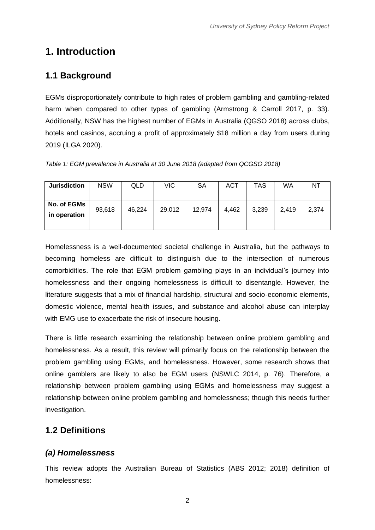# <span id="page-3-0"></span>**1. Introduction**

### **1.1 Background**

EGMs disproportionately contribute to high rates of problem gambling and gambling-related harm when compared to other types of gambling (Armstrong & Carroll 2017, p. 33). Additionally, NSW has the highest number of EGMs in Australia (QGSO 2018) across clubs, hotels and casinos, accruing a profit of approximately \$18 million a day from users during 2019 (ILGA 2020).

|  |  | Table 1: EGM prevalence in Australia at 30 June 2018 (adapted from QCGSO 2018) |  |
|--|--|--------------------------------------------------------------------------------|--|
|  |  |                                                                                |  |
|  |  |                                                                                |  |

| <b>Jurisdiction</b>         | <b>NSW</b> | QLD    | VIC    | <b>SA</b> | <b>ACT</b> | TAS   | WA    | NT    |
|-----------------------------|------------|--------|--------|-----------|------------|-------|-------|-------|
| No. of EGMs<br>in operation | 93,618     | 46,224 | 29,012 | 12,974    | 4,462      | 3,239 | 2,419 | 2,374 |

Homelessness is a well-documented societal challenge in Australia, but the pathways to becoming homeless are difficult to distinguish due to the intersection of numerous comorbidities. The role that EGM problem gambling plays in an individual's journey into homelessness and their ongoing homelessness is difficult to disentangle. However, the literature suggests that a mix of financial hardship, structural and socio-economic elements, domestic violence, mental health issues, and substance and alcohol abuse can interplay with EMG use to exacerbate the risk of insecure housing.

There is little research examining the relationship between online problem gambling and homelessness. As a result, this review will primarily focus on the relationship between the problem gambling using EGMs, and homelessness. However, some research shows that online gamblers are likely to also be EGM users (NSWLC 2014, p. 76). Therefore, a relationship between problem gambling using EGMs and homelessness may suggest a relationship between online problem gambling and homelessness; though this needs further investigation.

### <span id="page-3-1"></span>**1.2 Definitions**

### *(a) Homelessness*

This review adopts the Australian Bureau of Statistics (ABS 2012; 2018) definition of homelessness: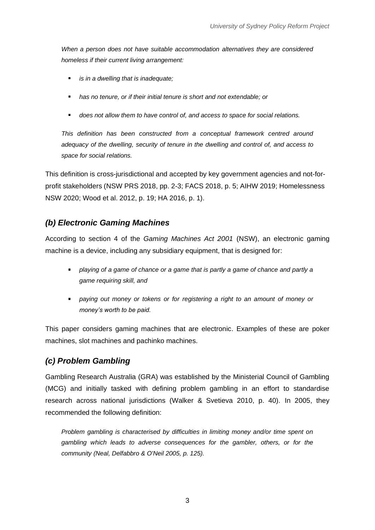*When a person does not have suitable accommodation alternatives they are considered homeless if their current living arrangement:*

- *is in a dwelling that is inadequate;*
- *has no tenure, or if their initial tenure is short and not extendable; or*
- *does not allow them to have control of, and access to space for social relations.*

*This definition has been constructed from a conceptual framework centred around adequacy of the dwelling, security of tenure in the dwelling and control of, and access to space for social relations.*

This definition is cross-jurisdictional and accepted by key government agencies and not-forprofit stakeholders (NSW PRS 2018, pp. 2-3; FACS 2018, p. 5; AIHW 2019; Homelessness NSW 2020; Wood et al. 2012, p. 19; HA 2016, p. 1).

#### *(b) Electronic Gaming Machines*

According to section 4 of the *Gaming Machines Act 2001* (NSW), an electronic gaming machine is a device, including any subsidiary equipment, that is designed for:

- *playing of a game of chance or a game that is partly a game of chance and partly a game requiring skill, and*
- **Paying out money or tokens or for registering a right to an amount of money or** *money's worth to be paid.*

This paper considers gaming machines that are electronic. Examples of these are poker machines, slot machines and pachinko machines.

#### *(c) Problem Gambling*

Gambling Research Australia (GRA) was established by the Ministerial Council of Gambling (MCG) and initially tasked with defining problem gambling in an effort to standardise research across national jurisdictions (Walker & Svetieva 2010, p. 40). In 2005, they recommended the following definition:

*Problem gambling is characterised by difficulties in limiting money and/or time spent on gambling which leads to adverse consequences for the gambler, others, or for the community (Neal, Delfabbro & O'Neil 2005, p. 125).*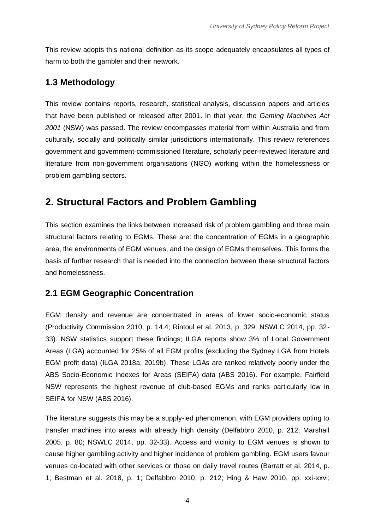This review adopts this national definition as its scope adequately encapsulates all types of harm to both the gambler and their network.

### <span id="page-5-0"></span>**1.3 Methodology**

This review contains reports, research, statistical analysis, discussion papers and articles that have been published or released after 2001. In that year, the *Gaming Machines Act 2001* (NSW) was passed. The review encompasses material from within Australia and from culturally, socially and politically similar jurisdictions internationally. This review references government and government-commissioned literature, scholarly peer-reviewed literature and literature from non-government organisations (NGO) working within the homelessness or problem gambling sectors.

# **2. Structural Factors and Problem Gambling**

This section examines the links between increased risk of problem gambling and three main structural factors relating to EGMs. These are: the concentration of EGMs in a geographic area, the environments of EGM venues, and the design of EGMs themselves. This forms the basis of further research that is needed into the connection between these structural factors and homelessness.

### <span id="page-5-1"></span>**2.1 EGM Geographic Concentration**

EGM density and revenue are concentrated in areas of lower socio-economic status (Productivity Commission 2010, p. 14.4; Rintoul et al. 2013, p. 329; NSWLC 2014, pp. 32- 33). NSW statistics support these findings; ILGA reports show 3% of Local Government Areas (LGA) accounted for 25% of all EGM profits (excluding the Sydney LGA from Hotels EGM profit data) (ILGA 2018a; 2019b). These LGAs are ranked relatively poorly under the ABS Socio-Economic Indexes for Areas (SEIFA) data (ABS 2016). For example, Fairfield NSW represents the highest revenue of club-based EGMs and ranks particularly low in SEIFA for NSW (ABS 2016).

The literature suggests this may be a supply-led phenomenon, with EGM providers opting to transfer machines into areas with already high density (Delfabbro 2010, p. 212; Marshall 2005, p. 80; NSWLC 2014, pp. 32-33). Access and vicinity to EGM venues is shown to cause higher gambling activity and higher incidence of problem gambling. EGM users favour venues co-located with other services or those on daily travel routes (Barratt et al. 2014, p. 1; Bestman et al. 2018, p. 1; Delfabbro 2010, p. 212; Hing & Haw 2010, pp. xxi-xxvi;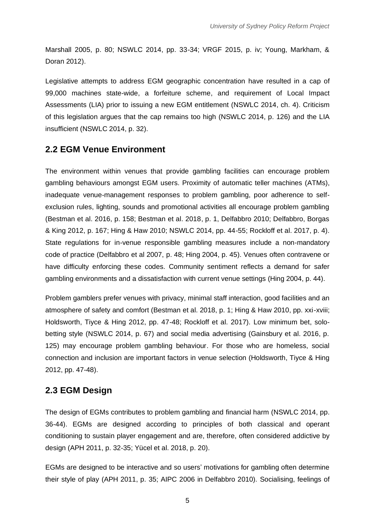Marshall 2005, p. 80; NSWLC 2014, pp. 33-34; VRGF 2015, p. iv; Young, Markham, & Doran 2012).

Legislative attempts to address EGM geographic concentration have resulted in a cap of 99,000 machines state-wide, a forfeiture scheme, and requirement of Local Impact Assessments (LIA) prior to issuing a new EGM entitlement (NSWLC 2014, ch. 4). Criticism of this legislation argues that the cap remains too high (NSWLC 2014, p. 126) and the LIA insufficient (NSWLC 2014, p. 32).

#### <span id="page-6-0"></span>**2.2 EGM Venue Environment**

The environment within venues that provide gambling facilities can encourage problem gambling behaviours amongst EGM users. Proximity of automatic teller machines (ATMs), inadequate venue-management responses to problem gambling, poor adherence to selfexclusion rules, lighting, sounds and promotional activities all encourage problem gambling (Bestman et al. 2016, p. 158; Bestman et al. 2018, p. 1, Delfabbro 2010; Delfabbro, Borgas & King 2012, p. 167; Hing & Haw 2010; NSWLC 2014, pp. 44-55; Rockloff et al. 2017, p. 4). State regulations for in-venue responsible gambling measures include a non-mandatory code of practice (Delfabbro et al 2007, p. 48; Hing 2004, p. 45). Venues often contravene or have difficulty enforcing these codes. Community sentiment reflects a demand for safer gambling environments and a dissatisfaction with current venue settings (Hing 2004, p. 44).

Problem gamblers prefer venues with privacy, minimal staff interaction, good facilities and an atmosphere of safety and comfort (Bestman et al. 2018, p. 1; Hing & Haw 2010, pp. xxi-xviii; Holdsworth, Tiyce & Hing 2012, pp. 47-48; Rockloff et al. 2017). Low minimum bet, solobetting style (NSWLC 2014, p. 67) and social media advertising (Gainsbury et al. 2016, p. 125) may encourage problem gambling behaviour. For those who are homeless, social connection and inclusion are important factors in venue selection (Holdsworth, Tiyce & Hing 2012, pp. 47-48).

### <span id="page-6-1"></span>**2.3 EGM Design**

The design of EGMs contributes to problem gambling and financial harm (NSWLC 2014, pp. 36-44). EGMs are designed according to principles of both classical and operant conditioning to sustain player engagement and are, therefore, often considered addictive by design (APH 2011, p. 32-35; Yücel et al. 2018, p. 20).

EGMs are designed to be interactive and so users' motivations for gambling often determine their style of play (APH 2011, p. 35; AIPC 2006 in Delfabbro 2010). Socialising, feelings of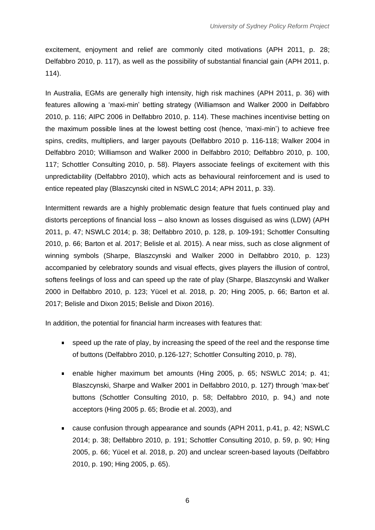excitement, enjoyment and relief are commonly cited motivations (APH 2011, p. 28; Delfabbro 2010, p. 117), as well as the possibility of substantial financial gain (APH 2011, p. 114).

In Australia, EGMs are generally high intensity, high risk machines (APH 2011, p. 36) with features allowing a 'maxi-min' betting strategy (Williamson and Walker 2000 in Delfabbro 2010, p. 116; AIPC 2006 in Delfabbro 2010, p. 114). These machines incentivise betting on the maximum possible lines at the lowest betting cost (hence, 'maxi-min') to achieve free spins, credits, multipliers, and larger payouts (Delfabbro 2010 p. 116-118; Walker 2004 in Delfabbro 2010; Williamson and Walker 2000 in Delfabbro 2010; Delfabbro 2010, p. 100, 117; Schottler Consulting 2010, p. 58). Players associate feelings of excitement with this unpredictability (Delfabbro 2010), which acts as behavioural reinforcement and is used to entice repeated play (Blaszcynski cited in NSWLC 2014; APH 2011, p. 33).

Intermittent rewards are a highly problematic design feature that fuels continued play and distorts perceptions of financial loss – also known as losses disguised as wins (LDW) (APH 2011, p. 47; NSWLC 2014; p. 38; Delfabbro 2010, p. 128, p. 109-191; Schottler Consulting 2010, p. 66; Barton et al. 2017; Belisle et al. 2015). A near miss, such as close alignment of winning symbols (Sharpe, Blaszcynski and Walker 2000 in Delfabbro 2010, p. 123) accompanied by celebratory sounds and visual effects, gives players the illusion of control, softens feelings of loss and can speed up the rate of play (Sharpe, Blaszcynski and Walker 2000 in Delfabbro 2010, p. 123; Yücel et al. 2018, p. 20; Hing 2005, p. 66; Barton et al. 2017; Belisle and Dixon 2015; Belisle and Dixon 2016).

In addition, the potential for financial harm increases with features that:

- speed up the rate of play, by increasing the speed of the reel and the response time of buttons (Delfabbro 2010, p.126-127; Schottler Consulting 2010, p. 78),
- enable higher maximum bet amounts (Hing 2005, p. 65; NSWLC 2014; p. 41; Blaszcynski, Sharpe and Walker 2001 in Delfabbro 2010, p. 127) through 'max-bet' buttons (Schottler Consulting 2010, p. 58; Delfabbro 2010, p. 94,) and note acceptors (Hing 2005 p. 65; Brodie et al. 2003), and
- cause confusion through appearance and sounds (APH 2011, p.41, p. 42; NSWLC 2014; p. 38; Delfabbro 2010, p. 191; Schottler Consulting 2010, p. 59, p. 90; Hing 2005, p. 66; Yücel et al. 2018, p. 20) and unclear screen-based layouts (Delfabbro 2010, p. 190; Hing 2005, p. 65).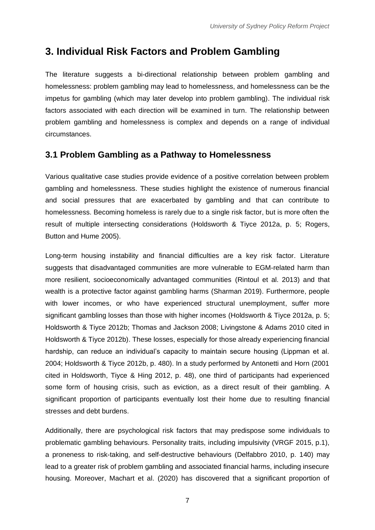### <span id="page-8-0"></span>**3. Individual Risk Factors and Problem Gambling**

The literature suggests a bi-directional relationship between problem gambling and homelessness: problem gambling may lead to homelessness, and homelessness can be the impetus for gambling (which may later develop into problem gambling). The individual risk factors associated with each direction will be examined in turn. The relationship between problem gambling and homelessness is complex and depends on a range of individual circumstances.

#### <span id="page-8-1"></span>**3.1 Problem Gambling as a Pathway to Homelessness**

Various qualitative case studies provide evidence of a positive correlation between problem gambling and homelessness. These studies highlight the existence of numerous financial and social pressures that are exacerbated by gambling and that can contribute to homelessness. Becoming homeless is rarely due to a single risk factor, but is more often the result of multiple intersecting considerations (Holdsworth & Tiyce 2012a, p. 5; Rogers, Button and Hume 2005).

Long-term housing instability and financial difficulties are a key risk factor. Literature suggests that disadvantaged communities are more vulnerable to EGM-related harm than more resilient, socioeconomically advantaged communities (Rintoul et al. 2013) and that wealth is a protective factor against gambling harms (Sharman 2019). Furthermore, people with lower incomes, or who have experienced structural unemployment, suffer more significant gambling losses than those with higher incomes (Holdsworth & Tiyce 2012a, p. 5; Holdsworth & Tiyce 2012b; Thomas and Jackson 2008; Livingstone & Adams 2010 cited in Holdsworth & Tiyce 2012b). These losses, especially for those already experiencing financial hardship, can reduce an individual's capacity to maintain secure housing (Lippman et al. 2004; Holdsworth & Tiyce 2012b, p. 480). In a study performed by Antonetti and Horn (2001 cited in Holdsworth, Tiyce & Hing 2012, p. 48), one third of participants had experienced some form of housing crisis, such as eviction, as a direct result of their gambling. A significant proportion of participants eventually lost their home due to resulting financial stresses and debt burdens.

Additionally, there are psychological risk factors that may predispose some individuals to problematic gambling behaviours. Personality traits, including impulsivity (VRGF 2015, p.1), a proneness to risk-taking, and self-destructive behaviours (Delfabbro 2010, p. 140) may lead to a greater risk of problem gambling and associated financial harms, including insecure housing. Moreover, Machart et al. (2020) has discovered that a significant proportion of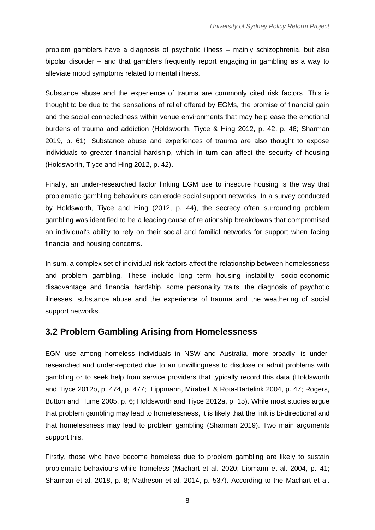problem gamblers have a diagnosis of psychotic illness – mainly schizophrenia, but also bipolar disorder – and that gamblers frequently report engaging in gambling as a way to alleviate mood symptoms related to mental illness.

Substance abuse and the experience of trauma are commonly cited risk factors. This is thought to be due to the sensations of relief offered by EGMs, the promise of financial gain and the social connectedness within venue environments that may help ease the emotional burdens of trauma and addiction (Holdsworth, Tiyce & Hing 2012, p. 42, p. 46; Sharman 2019, p. 61). Substance abuse and experiences of trauma are also thought to expose individuals to greater financial hardship, which in turn can affect the security of housing (Holdsworth, Tiyce and Hing 2012, p. 42).

Finally, an under-researched factor linking EGM use to insecure housing is the way that problematic gambling behaviours can erode social support networks. In a survey conducted by Holdsworth, Tiyce and Hing (2012, p. 44), the secrecy often surrounding problem gambling was identified to be a leading cause of relationship breakdowns that compromised an individual's ability to rely on their social and familial networks for support when facing financial and housing concerns.

In sum, a complex set of individual risk factors affect the relationship between homelessness and problem gambling. These include long term housing instability, socio-economic disadvantage and financial hardship, some personality traits, the diagnosis of psychotic illnesses, substance abuse and the experience of trauma and the weathering of social support networks.

#### <span id="page-9-0"></span>**3.2 Problem Gambling Arising from Homelessness**

EGM use among homeless individuals in NSW and Australia, more broadly, is underresearched and under-reported due to an unwillingness to disclose or admit problems with gambling or to seek help from service providers that typically record this data (Holdsworth and Tiyce 2012b, p. 474, p. 477; Lippmann, Mirabelli & Rota-Bartelink 2004, p. 47; Rogers, Button and Hume 2005, p. 6; Holdsworth and Tiyce 2012a, p. 15). While most studies argue that problem gambling may lead to homelessness, it is likely that the link is bi-directional and that homelessness may lead to problem gambling (Sharman 2019). Two main arguments support this.

Firstly, those who have become homeless due to problem gambling are likely to sustain problematic behaviours while homeless (Machart et al. 2020; Lipmann et al. 2004, p. 41; Sharman et al. 2018, p. 8; Matheson et al. 2014, p. 537). According to the Machart et al.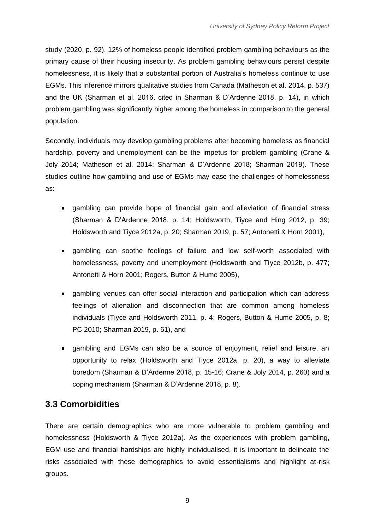study (2020, p. 92), 12% of homeless people identified problem gambling behaviours as the primary cause of their housing insecurity. As problem gambling behaviours persist despite homelessness, it is likely that a substantial portion of Australia's homeless continue to use EGMs. This inference mirrors qualitative studies from Canada (Matheson et al. 2014, p. 537) and the UK (Sharman et al. 2016, cited in Sharman & D'Ardenne 2018, p. 14), in which problem gambling was significantly higher among the homeless in comparison to the general population.

Secondly, individuals may develop gambling problems after becoming homeless as financial hardship, poverty and unemployment can be the impetus for problem gambling (Crane & Joly 2014; Matheson et al. 2014; Sharman & D'Ardenne 2018; Sharman 2019). These studies outline how gambling and use of EGMs may ease the challenges of homelessness as:

- gambling can provide hope of financial gain and alleviation of financial stress (Sharman & D'Ardenne 2018, p. 14; Holdsworth, Tiyce and Hing 2012, p. 39; Holdsworth and Tiyce 2012a, p. 20; Sharman 2019, p. 57; Antonetti & Horn 2001),
- gambling can soothe feelings of failure and low self-worth associated with homelessness, poverty and unemployment (Holdsworth and Tiyce 2012b, p. 477; Antonetti & Horn 2001; Rogers, Button & Hume 2005),
- gambling venues can offer social interaction and participation which can address feelings of alienation and disconnection that are common among homeless individuals (Tiyce and Holdsworth 2011, p. 4; Rogers, Button & Hume 2005, p. 8; PC 2010; Sharman 2019, p. 61), and
- gambling and EGMs can also be a source of enjoyment, relief and leisure, an opportunity to relax (Holdsworth and Tiyce 2012a, p. 20), a way to alleviate boredom (Sharman & D'Ardenne 2018, p. 15-16; Crane & Joly 2014, p. 260) and a coping mechanism (Sharman & D'Ardenne 2018, p. 8).

### <span id="page-10-0"></span>**3.3 Comorbidities**

There are certain demographics who are more vulnerable to problem gambling and homelessness (Holdsworth & Tiyce 2012a). As the experiences with problem gambling, EGM use and financial hardships are highly individualised, it is important to delineate the risks associated with these demographics to avoid essentialisms and highlight at-risk groups.

9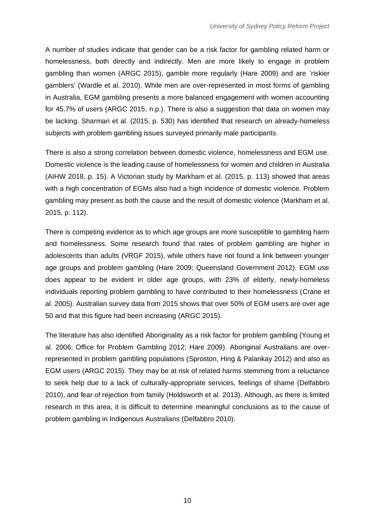A number of studies indicate that gender can be a risk factor for gambling related harm or homelessness, both directly and indirectly. Men are more likely to engage in problem gambling than women (ARGC 2015), gamble more regularly (Hare 2009) and are 'riskier gamblers' (Wardle et al. 2010). While men are over-represented in most forms of gambling in Australia, EGM gambling presents a more balanced engagement with women accounting for 45.7% of users (ARGC 2015, n.p.). There is also a suggestion that data on women may be lacking. Sharman et al. (2015, p. 530) has identified that research on already-homeless subjects with problem gambling issues surveyed primarily male participants.

There is also a strong correlation between domestic violence, homelessness and EGM use. Domestic violence is the leading cause of homelessness for women and children in Australia (AIHW 2018, p. 15). A Victorian study by Markham et al. (2015, p. 113) showed that areas with a high concentration of EGMs also had a high incidence of domestic violence. Problem gambling may present as both the cause and the result of domestic violence (Markham et al. 2015, p. 112).

There is competing evidence as to which age groups are more susceptible to gambling harm and homelessness. Some research found that rates of problem gambling are higher in adolescents than adults (VRGF 2015), while others have not found a link between younger age groups and problem gambling (Hare 2009; Queensland Government 2012). EGM use does appear to be evident in older age groups, with 23% of elderly, newly-homeless individuals reporting problem gambling to have contributed to their homelessness (Crane et al. 2005). Australian survey data from 2015 shows that over 50% of EGM users are over age 50 and that this figure had been increasing (ARGC 2015).

The literature has also identified Aboriginality as a risk factor for problem gambling (Young et al. 2006; Office for Problem Gambling 2012; Hare 2009). Aboriginal Australians are overrepresented in problem gambling populations (Sproston, Hing & Palankay 2012) and also as EGM users (ARGC 2015). They may be at risk of related harms stemming from a reluctance to seek help due to a lack of culturally-appropriate services, feelings of shame (Delfabbro 2010), and fear of rejection from family (Holdsworth et al. 2013). Although, as there is limited research in this area, it is difficult to determine meaningful conclusions as to the cause of problem gambling in Indigenous Australians (Delfabbro 2010).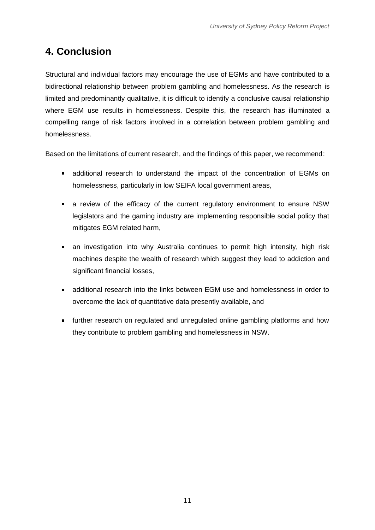## <span id="page-12-0"></span>**4. Conclusion**

Structural and individual factors may encourage the use of EGMs and have contributed to a bidirectional relationship between problem gambling and homelessness. As the research is limited and predominantly qualitative, it is difficult to identify a conclusive causal relationship where EGM use results in homelessness. Despite this, the research has illuminated a compelling range of risk factors involved in a correlation between problem gambling and homelessness.

Based on the limitations of current research, and the findings of this paper, we recommend:

- additional research to understand the impact of the concentration of EGMs on homelessness, particularly in low SEIFA local government areas,
- a review of the efficacy of the current regulatory environment to ensure NSW legislators and the gaming industry are implementing responsible social policy that mitigates EGM related harm,
- an investigation into why Australia continues to permit high intensity, high risk machines despite the wealth of research which suggest they lead to addiction and significant financial losses,
- additional research into the links between EGM use and homelessness in order to overcome the lack of quantitative data presently available, and
- <span id="page-12-1"></span>**further research on regulated and unregulated online gambling platforms and how** they contribute to problem gambling and homelessness in NSW.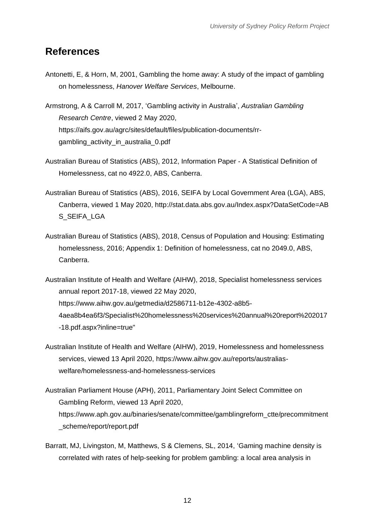### **References**

- Antonetti, E, & Horn, M, 2001, Gambling the home away: A study of the impact of gambling on homelessness, *Hanover Welfare Services*, Melbourne.
- Armstrong, A & Carroll M, 2017, 'Gambling activity in Australia', *Australian Gambling Research Centre*, viewed 2 May 2020, https://aifs.gov.au/agrc/sites/default/files/publication-documents/rrgambling\_activity\_in\_australia\_0.pdf
- Australian Bureau of Statistics (ABS), 2012, Information Paper A Statistical Definition of Homelessness, cat no 4922.0, ABS, Canberra.
- Australian Bureau of Statistics (ABS), 2016, SEIFA by Local Government Area (LGA), ABS, Canberra, viewed 1 May 2020, http://stat.data.abs.gov.au/Index.aspx?DataSetCode=AB S\_SEIFA\_LGA
- Australian Bureau of Statistics (ABS), 2018, Census of Population and Housing: Estimating homelessness, 2016; Appendix 1: Definition of homelessness, cat no 2049.0, ABS, Canberra.
- Australian Institute of Health and Welfare (AIHW), 2018, Specialist homelessness services annual report 2017-18, viewed 22 May 2020, https://www.aihw.gov.au/getmedia/d2586711-b12e-4302-a8b5- 4aea8b4ea6f3/Specialist%20homelessness%20services%20annual%20report%202017 -18.pdf.aspx?inline=true"
- Australian Institute of Health and Welfare (AIHW), 2019, Homelessness and homelessness services, viewed 13 April 2020, https://www.aihw.gov.au/reports/australiaswelfare/homelessness-and-homelessness-services
- Australian Parliament House (APH), 2011, Parliamentary Joint Select Committee on Gambling Reform, viewed 13 April 2020, https://www.aph.gov.au/binaries/senate/committee/gamblingreform\_ctte/precommitment \_scheme/report/report.pdf
- Barratt, MJ, Livingston, M, Matthews, S & Clemens, SL, 2014, 'Gaming machine density is correlated with rates of help-seeking for problem gambling: a local area analysis in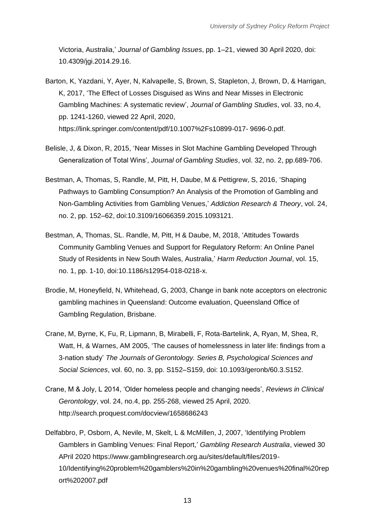Victoria, Australia,' *Journal of Gambling Issues*, pp. 1–21, viewed 30 April 2020, doi: 10.4309/jgi.2014.29.16.

- Barton, K, Yazdani, Y, Ayer, N, Kalvapelle, S, Brown, S, Stapleton, J, Brown, D, & Harrigan, K, 2017, 'The Effect of Losses Disguised as Wins and Near Misses in Electronic Gambling Machines: A systematic review', *Journal of Gambling Studies*, vol. 33, no.4, pp. 1241-1260, viewed 22 April, 2020, https://link.springer.com/content/pdf/10.1007%2Fs10899-017- 9696-0.pdf.
- Belisle, J, & Dixon, R, 2015, 'Near Misses in Slot Machine Gambling Developed Through Generalization of Total Wins', *Journal of Gambling Studies*, vol. 32, no. 2, pp.689-706.
- Bestman, A, Thomas, S, Randle, M, Pitt, H, Daube, M & Pettigrew, S, 2016, 'Shaping Pathways to Gambling Consumption? An Analysis of the Promotion of Gambling and Non-Gambling Activities from Gambling Venues,' *Addiction Research & Theory*, vol. 24, no. 2, pp. 152–62, doi:10.3109/16066359.2015.1093121.
- Bestman, A, Thomas, SL. Randle, M, Pitt, H & Daube, M, 2018, 'Attitudes Towards Community Gambling Venues and Support for Regulatory Reform: An Online Panel Study of Residents in New South Wales, Australia,' *Harm Reduction Journal*, vol. 15, no. 1, pp. 1-10, doi:10.1186/s12954-018-0218-x.
- Brodie, M, Honeyfield, N, Whitehead, G, 2003, Change in bank note acceptors on electronic gambling machines in Queensland: Outcome evaluation, Queensland Office of Gambling Regulation, Brisbane.
- Crane, M, Byrne, K, Fu, R, Lipmann, B, Mirabelli, F, Rota-Bartelink, A, Ryan, M, Shea, R, Watt, H, & Warnes, AM 2005, 'The causes of homelessness in later life: findings from a 3-nation study' *The Journals of Gerontology. Series B, Psychological Sciences and Social Sciences*, vol. 60, no. 3, pp. S152–S159, doi: 10.1093/geronb/60.3.S152.
- Crane, M & Joly, L 2014, 'Older homeless people and changing needs', *Reviews in Clinical Gerontology*, vol. 24, no.4, pp. 255-268, viewed 25 April, 2020[.](about:blank) [http://search.proquest.com/docview/1658686243](about:blank)
- Delfabbro, P, Osborn, A, Nevile, M, Skelt, L & McMillen, J, 2007, 'Identifying Problem Gamblers in Gambling Venues: Final Report,' *Gambling Research Australia*, viewed 30 APril 2020 https://www.gamblingresearch.org.au/sites/default/files/2019- 10/Identifying%20problem%20gamblers%20in%20gambling%20venues%20final%20rep ort%202007.pdf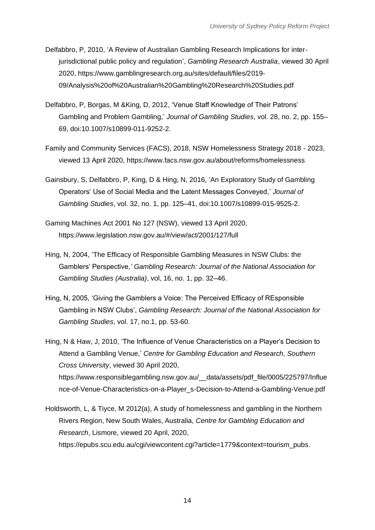- Delfabbro, P, 2010, 'A Review of Australian Gambling Research Implications for interjurisdictional public policy and regulation', *Gambling Research Australia*, viewed 30 April 2020, https://www.gamblingresearch.org.au/sites/default/files/2019- 09/Analysis%20of%20Australian%20Gambling%20Research%20Studies.pdf
- Delfabbro, P, Borgas, M &King, D, 2012, 'Venue Staff Knowledge of Their Patrons' Gambling and Problem Gambling,' *Journal of Gambling Studies*, vol. 28, no. 2, pp. 155– 69, doi:10.1007/s10899-011-9252-2.
- Family and Community Services (FACS), 2018, NSW Homelessness Strategy 2018 2023, viewed 13 April 2020, https://www.facs.nsw.gov.au/about/reforms/homelessness
- Gainsbury, S, Delfabbro, P, King, D & Hing, N, 2016, 'An Exploratory Study of Gambling Operators' Use of Social Media and the Latent Messages Conveyed,' *Journal of Gambling Studies*, vol. 32, no. 1, pp. 125–41, doi:10.1007/s10899-015-9525-2.
- Gaming Machines Act 2001 No 127 (NSW), viewed 13 April 2020, https://www.legislation.nsw.gov.au/#/view/act/2001/127/full
- Hing, N, 2004, 'The Efficacy of Responsible Gambling Measures in NSW Clubs: the Gamblers' Perspective*,' Gambling Research: Journal of the National Association for Gambling Studies (Australia)*, vol, 16, no. 1, pp. 32–46.
- Hing, N, 2005, 'Giving the Gamblers a Voice: The Perceived Efficacy of REsponsible Gambling in NSW Clubs', *Gambling Research: Journal of the National Association for Gambling Studies*, vol. 17, no.1, pp. 53-60.
- Hing, N & Haw, J, 2010, 'The Influence of Venue Characteristics on a Player's Decision to Attend a Gambling Venue,' *Centre for Gambling Education and Research, Southern Cross University*, viewed 30 April 2020, https://www.responsiblegambling.nsw.gov.au/\_\_data/assets/pdf\_file/0005/225797/Influe nce-of-Venue-Characteristics-on-a-Player\_s-Decision-to-Attend-a-Gambling-Venue.pdf
- Holdsworth, L, & Tiyce, M 2012(a), A study of homelessness and gambling in the Northern Rivers Region, New South Wales, Australia, *Centre for Gambling Education and Research*, Lismore, viewed 20 April, 2020[,](about:blank) [https://epubs.scu.edu.au/cgi/viewcontent.cgi?article=1779&context=tourism\\_pubs.](about:blank)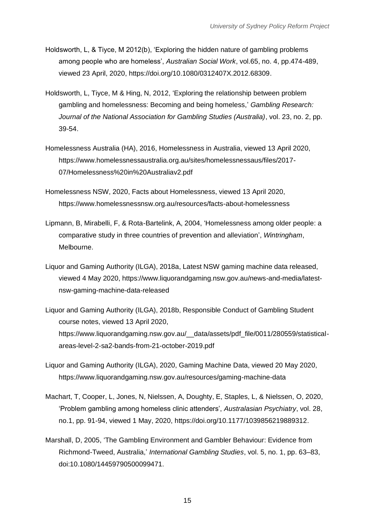- Holdsworth, L, & Tiyce, M 2012(b), 'Exploring the hidden nature of gambling problems among people who are homeless', *Australian Social Work*, vol.65, no. 4, pp.474-489, viewed 23 April, 2020, [https://doi.org/10.1080/0312407X.2012.68309.](about:blank)
- Holdsworth, L, Tiyce, M & Hing, N, 2012, 'Exploring the relationship between problem gambling and homelessness: Becoming and being homeless,' *Gambling Research: Journal of the National Association for Gambling Studies (Australia)*, vol. 23, no. 2, pp. 39-54.
- Homelessness Australia (HA), 2016, Homelessness in Australia, viewed 13 April 2020, https://www.homelessnessaustralia.org.au/sites/homelessnessaus/files/2017- 07/Homelessness%20in%20Australiav2.pdf
- Homelessness NSW, 2020, Facts about Homelessness, viewed 13 April 2020, https://www.homelessnessnsw.org.au/resources/facts-about-homelessness
- Lipmann, B, Mirabelli, F, & Rota-Bartelink, A, 2004, 'Homelessness among older people: a comparative study in three countries of prevention and alleviation', *Wintringham*, Melbourne.
- Liquor and Gaming Authority (ILGA), 2018a, Latest NSW gaming machine data released, viewed 4 May 2020, https://www.liquorandgaming.nsw.gov.au/news-and-media/latestnsw-gaming-machine-data-released
- Liquor and Gaming Authority (ILGA), 2018b, Responsible Conduct of Gambling Student course notes, viewed 13 April 2020, https://www.liquorandgaming.nsw.gov.au/ data/assets/pdf file/0011/280559/statisticalareas-level-2-sa2-bands-from-21-october-2019.pdf
- Liquor and Gaming Authority (ILGA), 2020, Gaming Machine Data, viewed 20 May 2020, https://www.liquorandgaming.nsw.gov.au/resources/gaming-machine-data
- Machart, T, Cooper, L, Jones, N, Nielssen, A, Doughty, E, Staples, L, & Nielssen, O, 2020, 'Problem gambling among homeless clinic attenders', *Australasian Psychiatry*, vol. 28, no.1, pp. 91-94, viewed 1 May, 2020, [https://doi.org/10.1177/1039856219889312.](about:blank)
- Marshall, D, 2005, 'The Gambling Environment and Gambler Behaviour: Evidence from Richmond-Tweed, Australia,' *International Gambling Studies*, vol. 5, no. 1, pp. 63–83, doi:10.1080/14459790500099471.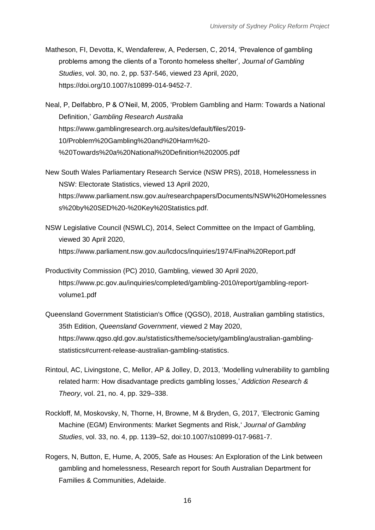Matheson, FI, Devotta, K, Wendaferew, A, Pedersen, C, 2014, 'Prevalence of gambling problems among the clients of a Toronto homeless shelter'*, Journal of Gambling Studies*, vol. 30, no. 2, pp. 537-546, viewed 23 April, 2020[,](about:blank) [https://doi.org/10.1007/s10899-014-9452-7.](about:blank)

Neal, P, Delfabbro, P & O'Neil, M, 2005, 'Problem Gambling and Harm: Towards a National Definition,' *Gambling Research Australia* https://www.gamblingresearch.org.au/sites/default/files/2019- 10/Problem%20Gambling%20and%20Harm%20- %20Towards%20a%20National%20Definition%202005.pdf

New South Wales Parliamentary Research Service (NSW PRS), 2018, Homelessness in NSW: Electorate Statistics, viewed 13 April 2020, https://www.parliament.nsw.gov.au/researchpapers/Documents/NSW%20Homelessnes s%20by%20SED%20-%20Key%20Statistics.pdf.

NSW Legislative Council (NSWLC), 2014, Select Committee on the Impact of Gambling, viewed 30 April 2020, https://www.parliament.nsw.gov.au/lcdocs/inquiries/1974/Final%20Report.pdf

Productivity Commission (PC) 2010, Gambling, viewed 30 April 2020, https://www.pc.gov.au/inquiries/completed/gambling-2010/report/gambling-reportvolume1.pdf

Queensland Government Statistician's Office (QGSO), 2018, Australian gambling statistics, 35th Edition, *Queensland Government*, viewed 2 May 2020, https://www.qgso.qld.gov.au/statistics/theme/society/gambling/australian-gamblingstatistics#current-release-australian-gambling-statistics.

- Rintoul, AC, Livingstone, C, Mellor, AP & Jolley, D, 2013, 'Modelling vulnerability to gambling related harm: How disadvantage predicts gambling losses,' *Addiction Research & Theory*, vol. 21, no. 4, pp. 329–338.
- Rockloff, M, Moskovsky, N, Thorne, H, Browne, M & Bryden, G, 2017, 'Electronic Gaming Machine (EGM) Environments: Market Segments and Risk,' *Journal of Gambling Studies*, vol. 33, no. 4, pp. 1139–52, doi:10.1007/s10899-017-9681-7.
- Rogers, N, Button, E, Hume, A, 2005, Safe as Houses: An Exploration of the Link between gambling and homelessness, Research report for South Australian Department for Families & Communities, Adelaide.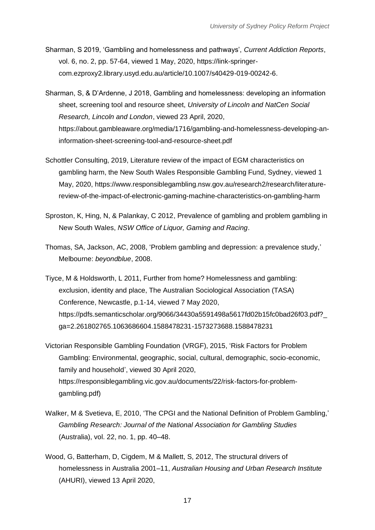- Sharman, S 2019, 'Gambling and homelessness and pathways', *Current Addiction Reports*, vol. 6, no. 2, pp. 57-64, viewed 1 May, 2020, [https://link-springer](about:blank)[com.ezproxy2.library.usyd.edu.au/article/10.1007/s40429-019-00242-6.](about:blank)
- Sharman, S, & D'Ardenne, J 2018, Gambling and homelessness: developing an information sheet, screening tool and resource sheet, *University of Lincoln and NatCen Social Research, Lincoln and London*, viewed 23 April, 2020[,](about:blank) [https://about.gambleaware.org/media/1716/gambling-and-homelessness-developing-an](about:blank)[information-sheet-screening-tool-and-resource-sheet.pdf](about:blank)
- Schottler Consulting, 2019, Literature review of the impact of EGM characteristics on gambling harm, the New South Wales Responsible Gambling Fund, Sydney, viewed 1 May, 2020, [https://www.responsiblegambling.nsw.gov.au/research2/research/literature](about:blank)[review-of-the-impact-of-electronic-gaming-machine-characteristics-on-gambling-harm](about:blank)
- Sproston, K, Hing, N, & Palankay, C 2012, Prevalence of gambling and problem gambling in New South Wales, *NSW Office of Liquor, Gaming and Racing*.
- Thomas, SA, Jackson, AC, 2008, 'Problem gambling and depression: a prevalence study,' Melbourne: *beyondblue*, 2008.
- Tiyce, M & Holdsworth, L 2011, Further from home? Homelessness and gambling: exclusion, identity and place, The Australian Sociological Association (TASA) Conference, Newcastle, p.1-14, viewed 7 May 2020[,](about:blank) [https://pdfs.semanticscholar.org/9066/34430a5591498a5617fd02b15fc0bad26f03.pdf?\\_](about:blank) [ga=2.261802765.1063686604.1588478231-1573273688.1588478231](about:blank)
- Victorian Responsible Gambling Foundation (VRGF), 2015, 'Risk Factors for Problem Gambling: Environmental, geographic, social, cultural, demographic, socio-economic, family and household', viewed 30 April 2020, https://responsiblegambling.vic.gov.au/documents/22/risk-factors-for-problemgambling.pdf)
- Walker, M & Svetieva, E, 2010, 'The CPGI and the National Definition of Problem Gambling,' *Gambling Research: Journal of the National Association for Gambling Studies* (Australia), vol. 22, no. 1, pp. 40–48.
- Wood, G, Batterham, D, Cigdem, M & Mallett, S, 2012, The structural drivers of homelessness in Australia 2001–11, *Australian Housing and Urban Research Institute* (AHURI), viewed 13 April 2020,